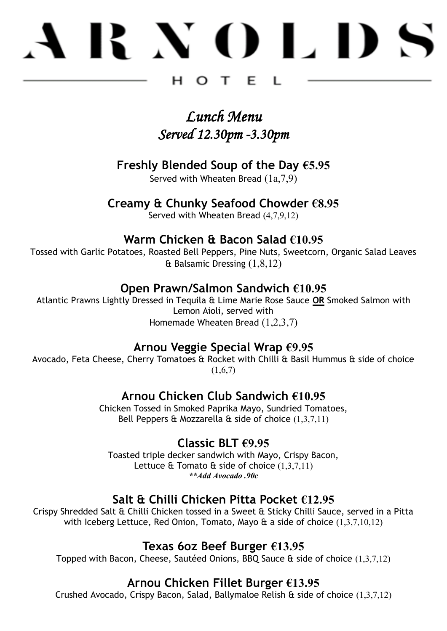# **BNOLDS**

#### н  $\Omega$  $\top$ E.

#### *Lunch Menu Served 12.30pm -3.30pm*

#### **Freshly Blended Soup of the Day €5.95**

Served with Wheaten Bread (1a,7,9)

#### **Creamy & Chunky Seafood Chowder €8.95**

Served with Wheaten Bread (4,7,9,12)

#### **Warm Chicken & Bacon Salad €10.95**

Tossed with Garlic Potatoes, Roasted Bell Peppers, Pine Nuts, Sweetcorn, Organic Salad Leaves & Balsamic Dressing (1,8,12)

#### **Open Prawn/Salmon Sandwich €10.95**

Atlantic Prawns Lightly Dressed in Tequila & Lime Marie Rose Sauce **OR** Smoked Salmon with Lemon Aioli, served with Homemade Wheaten Bread (1,2,3,7)

#### **Arnou Veggie Special Wrap €9.95**

Avocado, Feta Cheese, Cherry Tomatoes & Rocket with Chilli & Basil Hummus & side of choice  $(1,6,7)$ 

#### **Arnou Chicken Club Sandwich €10.95**

Chicken Tossed in Smoked Paprika Mayo, Sundried Tomatoes, Bell Peppers & Mozzarella  $\hat{\alpha}$  side of choice  $(1,3,7,11)$ 

#### **Classic BLT €9.95**

Toasted triple decker sandwich with Mayo, Crispy Bacon, Lettuce & Tomato & side of choice (1,3,7,11) *\*\*Add Avocado .90c*

#### **Salt & Chilli Chicken Pitta Pocket €12.95**

Crispy Shredded Salt & Chilli Chicken tossed in a Sweet & Sticky Chilli Sauce, served in a Pitta with Iceberg Lettuce, Red Onion, Tomato, Mayo & a side of choice (1,3,7,10,12)

#### **Texas 6oz Beef Burger €13.95**

Topped with Bacon, Cheese, Sautéed Onions, BBQ Sauce & side of choice (1,3,7,12)

#### **Arnou Chicken Fillet Burger €13.95**

Crushed Avocado, Crispy Bacon, Salad, Ballymaloe Relish & side of choice (1,3,7,12)